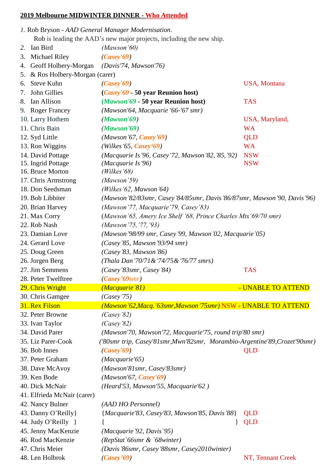## **2019 Melbourne MIDWINTER DINNER - Who Attended**

|    |                              | 1. Rob Bryson - AAD General Manager Modernisation.                         |                     |  |
|----|------------------------------|----------------------------------------------------------------------------|---------------------|--|
|    |                              | Rob is leading the AAD's new major projects, including the new ship.       |                     |  |
| 2. | Ian Bird                     | (Mawson'60)                                                                |                     |  |
| 3. | Michael Riley                | (Casey'69)                                                                 |                     |  |
| 4. | Geoff Holbery-Morgan         | (Davis'74, Mawson'76)                                                      |                     |  |
| 5. | & Ros Holbery-Morgan (carer) |                                                                            |                     |  |
| 6. | Steve Kuhn                   | (Casey'69)                                                                 | <b>USA, Montana</b> |  |
| 7. | John Gillies                 | ( <i>Casey'69</i> - 50 year Reunion host)                                  |                     |  |
|    | 8. Ian Allison               | (Mawson'69 - 50 year Reunion host)                                         | <b>TAS</b>          |  |
|    | 9. Roger Francey             | (Mawson'64, Macquarie '66-'67 smr)                                         |                     |  |
|    | 10. Larry Hothem             | (Mawson'69)                                                                | USA, Maryland,      |  |
|    | 11. Chris Bain               | (Mawson'69)                                                                | <b>WA</b>           |  |
|    | 12. Syd Little               | $(Mawson'67, \text{Casey'}69)$                                             | QLD                 |  |
|    | 13. Ron Wiggins              | $(Wilkes'65, \text{Casey}'69)$                                             | <b>WA</b>           |  |
|    | 14. David Pottage            | (Macquarie Is'96, Casey'72, Mawson'82, '85, '92)                           | <b>NSW</b>          |  |
|    | 15. Ingrid Pottage           | (Macquarie Is '96)                                                         | <b>NSW</b>          |  |
|    | 16. Bruce Morton             | (Wilkes'68)                                                                |                     |  |
|    | 17. Chris Armstrong          | (Mawson'59)                                                                |                     |  |
|    | 18. Don Seedsman             | (Wilkes '62, Mawson '64)                                                   |                     |  |
|    | 19. Bob Libbiter             | (Mawson'82/83smr, Casey'84/85smr, Davis'86/87smr, Mawson'90, Davis'96)     |                     |  |
|    | 20. Brian Harvey             | (Mawson'77, Macquarie'79, Casey'83)                                        |                     |  |
|    | 21. Max Corry                | (Mawson'65, Amery Ice Shelf '68, Prince Charles Mts '69/70 smr)            |                     |  |
|    | 22. Rob Nash                 | (Mawson '75, '77, '93)                                                     |                     |  |
|    | 23. Damian Love              | (Mawson '98/99 smr, Casey '99, Mawson '02, Macquarie '05)                  |                     |  |
|    | 24. Gerard Love              | (Casey'85, Mawson'93/94 smr)                                               |                     |  |
|    | 25. Doug Green               | (Casey'83, Mawson'86)                                                      |                     |  |
|    | 26. Jorgen Berg              | (Thala Dan'70/71 & '74/75 & '76/77 smrs)                                   |                     |  |
|    | 27. Jim Semmens              | (Casey'83smr, Casey'84)                                                    | <b>TAS</b>          |  |
|    | 28. Peter Twelftree          | $(Casey'69$ smr)                                                           |                     |  |
|    | 29. Chris Wright             | (Macquarie'81)                                                             | - UNABLE TO ATTEND  |  |
|    | 30. Chris Gamgee             | (Casey'75)                                                                 |                     |  |
|    | 31. Rex Filson               | (Mawson'62, Macq.'63smr, Mawson'75smr) NSW - UNABLE TO ATTEND              |                     |  |
|    | 32. Peter Browne             | (Casey'82)                                                                 |                     |  |
|    | 33. Ivan Taylor              | (Casey'82)                                                                 |                     |  |
|    |                              |                                                                            |                     |  |
|    | 34. David Parer              | (Mawson'70, Mawson'72, Macquarie'75, round trip'80 smr)                    |                     |  |
|    | 35. Liz Parer-Cook           | ('80smr trip, Casey'81smr, Mwn'82smr, Morambio-Argentine'89, Crozet'90smr) |                     |  |
|    | 36. Bob Innes                | (Casey'69)                                                                 | QLD                 |  |
|    | 37. Peter Graham             | (Macquarie'65)                                                             |                     |  |
|    | 38. Dave McAvoy              | (Mawson'81smr, Casey'83smr)                                                |                     |  |
|    | 39. Ken Bode                 | $(Mawson'67, \text{Casey}'69)$                                             |                     |  |
|    | 40. Dick McNair              | (Heard'53, Mawson'55, Macquarie'62)                                        |                     |  |
|    | 41. Elfrieda McNair (carer)  |                                                                            |                     |  |
|    | 42. Nancy Bulner             | (AAD HO Personnel)                                                         |                     |  |
|    | 43. Danny O'Reilly           | {Macquarie'83, Casey'83, Mawson'85, Davis'88}                              | QLD                 |  |
|    | 44. Judy O'Reilly }          |                                                                            | <b>QLD</b>          |  |
|    | 45. Jenny MacKenzie          | (Macquarie'92, Davis'95)                                                   |                     |  |
|    | 46. Rod MacKenzie            | (RepStat`66smr & `68winter)                                                |                     |  |
|    | 47. Chris Meier              | (Davis'86smr, Casey'88smr, Casey2010winter)                                |                     |  |
|    | 48. Len Holbrok              | (Casey'69)                                                                 | NT, Tennant Creek   |  |